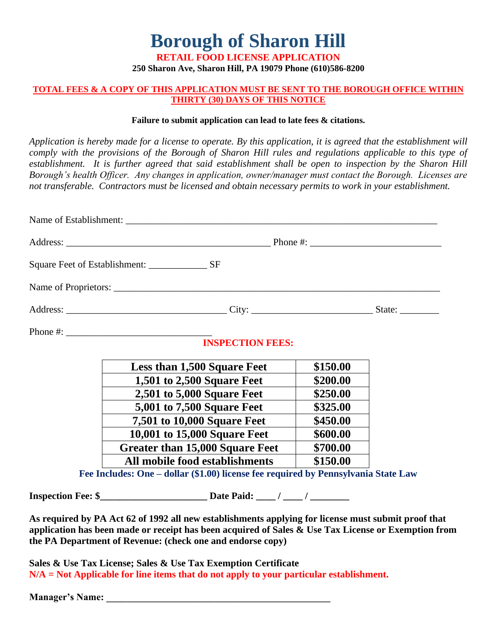**Borough of Sharon Hill**

**RETAIL FOOD LICENSE APPLICATION 250 Sharon Ave, Sharon Hill, PA 19079 Phone (610)586-8200** 

## **TOTAL FEES & A COPY OF THIS APPLICATION MUST BE SENT TO THE BOROUGH OFFICE WITHIN THIRTY (30) DAYS OF THIS NOTICE**

## **Failure to submit application can lead to late fees & citations.**

*Application is hereby made for a license to operate. By this application, it is agreed that the establishment will comply with the provisions of the Borough of Sharon Hill rules and regulations applicable to this type of establishment. It is further agreed that said establishment shall be open to inspection by the Sharon Hill Borough's health Officer. Any changes in application, owner/manager must contact the Borough. Licenses are not transferable. Contractors must be licensed and obtain necessary permits to work in your establishment.*

| <b>INSPECTION FEES:</b>                                                            |          |  |
|------------------------------------------------------------------------------------|----------|--|
| <b>Less than 1,500 Square Feet</b>                                                 | \$150.00 |  |
| 1,501 to 2,500 Square Feet                                                         | \$200.00 |  |
| <b>2,501 to 5,000 Square Feet</b>                                                  | \$250.00 |  |
| 5,001 to 7,500 Square Feet                                                         | \$325.00 |  |
| 7,501 to 10,000 Square Feet                                                        | \$450.00 |  |
| 10,001 to 15,000 Square Feet                                                       | \$600.00 |  |
| <b>Greater than 15,000 Square Feet</b>                                             | \$700.00 |  |
| All mobile food establishments                                                     | \$150.00 |  |
| Fee Includes: One - dollar (\$1.00) license fee required by Pennsylvania State Law |          |  |
|                                                                                    |          |  |

**As required by PA Act 62 of 1992 all new establishments applying for license must submit proof that application has been made or receipt has been acquired of Sales & Use Tax License or Exemption from the PA Department of Revenue: (check one and endorse copy)** 

**Sales & Use Tax License; Sales & Use Tax Exemption Certificate N/A = Not Applicable for line items that do not apply to your particular establishment.**

**Manager's Name:**  $\blacksquare$